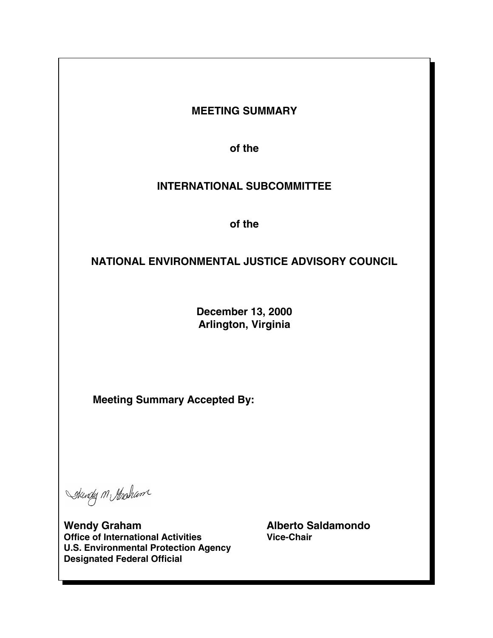## **MEETING SUMMARY**

**of the** 

# **INTERNATIONAL SUBCOMMITTEE**

**of the** 

# **NATIONAL ENVIRONMENTAL JUSTICE ADVISORY COUNCIL**

**December 13, 2000 Arlington, Virginia** 

**Meeting Summary Accepted By:** 

Skendy M Hasham

**Wendy Graham <br>Office of International Activities <br>Alberto Saldamondo Office of International Activities <br>Alberto Saldamondo** *Vice-Chair* **Office of International Activities U.S. Environmental Protection Agency Designated Federal Official**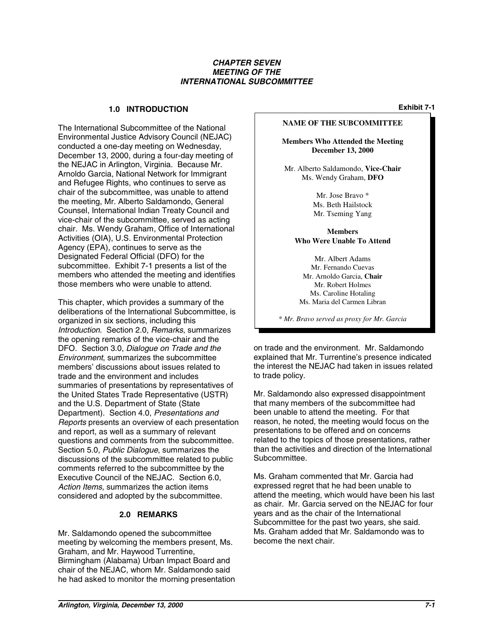#### *CHAPTER SEVEN MEETING OF THE INTERNATIONAL SUBCOMMITTEE*

## **1.0 Exhibit 7-1 INTRODUCTION**

The International Subcommittee of the National Environmental Justice Advisory Council (NEJAC) conducted a one-day meeting on Wednesday, December 13, 2000, during a four-day meeting of the NEJAC in Arlington, Virginia. Because Mr. Arnoldo Garcia, National Network for Immigrant and Refugee Rights, who continues to serve as chair of the subcommittee, was unable to attend the meeting, Mr. Alberto Saldamondo, General Counsel, International Indian Treaty Council and vice-chair of the subcommittee, served as acting chair. Ms. Wendy Graham, Office of International Activities (OIA), U.S. Environmental Protection Agency (EPA), continues to serve as the Designated Federal Official (DFO) for the subcommittee. Exhibit 7-1 presents a list of the members who attended the meeting and identifies those members who were unable to attend.

This chapter, which provides a summary of the deliberations of the International Subcommittee, is organized in six sections, including this *Introduction*. Section 2.0, *Remarks*, summarizes the opening remarks of the vice-chair and the DFO. Section 3.0, *Dialogue on Trade and the Environment*, summarizes the subcommittee members' discussions about issues related to trade and the environment and includes summaries of presentations by representatives of the United States Trade Representative (USTR) and the U.S. Department of State (State Department). Section 4.0, *Presentations and Reports* presents an overview of each presentation and report, as well as a summary of relevant questions and comments from the subcommittee. Section 5.0, *Public Dialogue*, summarizes the discussions of the subcommittee related to public comments referred to the subcommittee by the Executive Council of the NEJAC. Section 6.0, *Action Items*, summarizes the action items considered and adopted by the subcommittee.

#### **2.0 REMARKS**

Mr. Saldamondo opened the subcommittee meeting by welcoming the members present, Ms. Graham, and Mr. Haywood Turrentine, Birmingham (Alabama) Urban Impact Board and chair of the NEJAC, whom Mr. Saldamondo said he had asked to monitor the morning presentation

#### **NAME OF THE SUBCOMMITTEE**

**Members Who Attended the Meeting December 13, 2000** 

Mr. Alberto Saldamondo, **Vice-Chair** Ms. Wendy Graham, **DFO** 

> Mr. Jose Bravo \* Ms. Beth Hailstock Mr. Tseming Yang

**Members Who Were Unable To Attend** 

Mr. Albert Adams Mr. Fernando Cuevas Mr. Arnoldo Garcia, **Chair**  Mr. Robert Holmes Ms. Caroline Hotaling Ms. Maria del Carmen Libran

\* *Mr. Bravo served as proxy for Mr. Garcia* 

on trade and the environment. Mr. Saldamondo explained that Mr. Turrentine's presence indicated the interest the NEJAC had taken in issues related to trade policy.

Mr. Saldamondo also expressed disappointment that many members of the subcommittee had been unable to attend the meeting. For that reason, he noted, the meeting would focus on the presentations to be offered and on concerns related to the topics of those presentations, rather than the activities and direction of the International Subcommittee.

Ms. Graham commented that Mr. Garcia had expressed regret that he had been unable to attend the meeting, which would have been his last as chair. Mr. Garcia served on the NEJAC for four years and as the chair of the International Subcommittee for the past two years, she said. Ms. Graham added that Mr. Saldamondo was to become the next chair.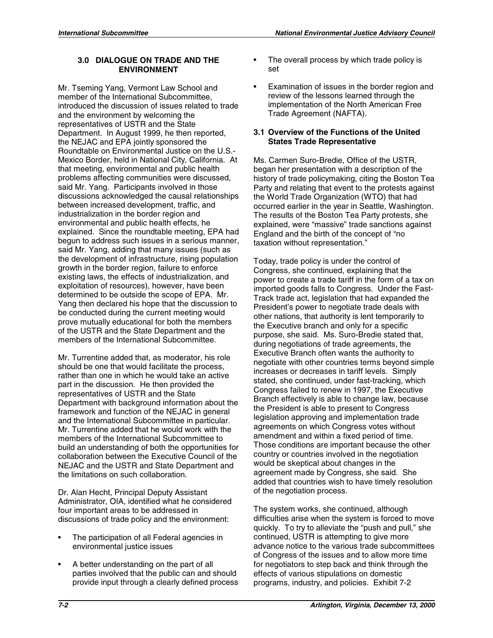#### **3.0 DIALOGUE ON TRADE AND THE ENVIRONMENT**

Mr. Tseming Yang, Vermont Law School and member of the International Subcommittee, introduced the discussion of issues related to trade and the environment by welcoming the representatives of USTR and the State Department. In August 1999, he then reported, the NEJAC and EPA jointly sponsored the Roundtable on Environmental Justice on the U.S. Mexico Border, held in National City, California. At that meeting, environmental and public health problems affecting communities were discussed, said Mr. Yang. Participants involved in those discussions acknowledged the causal relationships between increased development, traffic, and industrialization in the border region and environmental and public health effects, he explained. Since the roundtable meeting, EPA had begun to address such issues in a serious manner, said Mr. Yang, adding that many issues (such as the development of infrastructure, rising population growth in the border region, failure to enforce existing laws, the effects of industrialization, and exploitation of resources), however, have been determined to be outside the scope of EPA. Mr. Yang then declared his hope that the discussion to be conducted during the current meeting would prove mutually educational for both the members of the USTR and the State Department and the members of the International Subcommittee.

Mr. Turrentine added that, as moderator, his role should be one that would facilitate the process, rather than one in which he would take an active part in the discussion. He then provided the representatives of USTR and the State Department with background information about the framework and function of the NEJAC in general and the International Subcommittee in particular. Mr. Turrentine added that he would work with the members of the International Subcommittee to build an understanding of both the opportunities for collaboration between the Executive Council of the NEJAC and the USTR and State Department and the limitations on such collaboration.

Dr. Alan Hecht, Principal Deputy Assistant Administrator, OIA, identified what he considered four important areas to be addressed in discussions of trade policy and the environment:

- The participation of all Federal agencies in environmental justice issues
- A better understanding on the part of all parties involved that the public can and should provide input through a clearly defined process
- The overall process by which trade policy is set
- Examination of issues in the border region and review of the lessons learned through the implementation of the North American Free Trade Agreement (NAFTA).

#### **3.1 Overview of the Functions of the United States Trade Representative**

Ms. Carmen Suro-Bredie, Office of the USTR, began her presentation with a description of the history of trade policymaking, citing the Boston Tea Party and relating that event to the protests against the World Trade Organization (WTO) that had occurred earlier in the year in Seattle, Washington. The results of the Boston Tea Party protests, she explained, were "massive" trade sanctions against England and the birth of the concept of "no taxation without representation."

Today, trade policy is under the control of Congress, she continued, explaining that the power to create a trade tariff in the form of a tax on imported goods falls to Congress. Under the Fast-Track trade act, legislation that had expanded the President's power to negotiate trade deals with other nations, that authority is lent temporarily to the Executive branch and only for a specific purpose, she said. Ms. Suro-Bredie stated that, during negotiations of trade agreements, the Executive Branch often wants the authority to negotiate with other countries terms beyond simple increases or decreases in tariff levels. Simply stated, she continued, under fast-tracking, which Congress failed to renew in 1997, the Executive Branch effectively is able to change law, because the President is able to present to Congress legislation approving and implementation trade agreements on which Congress votes without amendment and within a fixed period of time. Those conditions are important because the other country or countries involved in the negotiation would be skeptical about changes in the agreement made by Congress, she said. She added that countries wish to have timely resolution of the negotiation process.

The system works, she continued, although difficulties arise when the system is forced to move quickly. To try to alleviate the "push and pull," she continued, USTR is attempting to give more advance notice to the various trade subcommittees of Congress of the issues and to allow more time for negotiators to step back and think through the effects of various stipulations on domestic programs, industry, and policies. Exhibit 7-2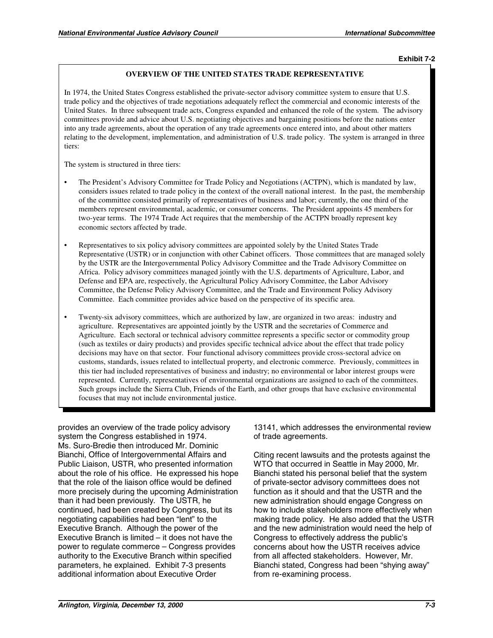#### **Exhibit 7-2**

#### **OVERVIEW OF THE UNITED STATES TRADE REPRESENTATIVE**

In 1974, the United States Congress established the private-sector advisory committee system to ensure that U.S. trade policy and the objectives of trade negotiations adequately reflect the commercial and economic interests of the United States. In three subsequent trade acts, Congress expanded and enhanced the role of the system. The advisory committees provide and advice about U.S. negotiating objectives and bargaining positions before the nations enter into any trade agreements, about the operation of any trade agreements once entered into, and about other matters relating to the development, implementation, and administration of U.S. trade policy. The system is arranged in three tiers:

The system is structured in three tiers:

- The President's Advisory Committee for Trade Policy and Negotiations (ACTPN), which is mandated by law, considers issues related to trade policy in the context of the overall national interest. In the past, the membership of the committee consisted primarily of representatives of business and labor; currently, the one third of the members represent environmental, academic, or consumer concerns. The President appoints 45 members for two-year terms. The 1974 Trade Act requires that the membership of the ACTPN broadly represent key economic sectors affected by trade.
- Representatives to six policy advisory committees are appointed solely by the United States Trade Representative (USTR) or in conjunction with other Cabinet officers. Those committees that are managed solely by the USTR are the Intergovernmental Policy Advisory Committee and the Trade Advisory Committee on Africa. Policy advisory committees managed jointly with the U.S. departments of Agriculture, Labor, and Defense and EPA are, respectively, the Agricultural Policy Advisory Committee, the Labor Advisory Committee, the Defense Policy Advisory Committee, and the Trade and Environment Policy Advisory Committee. Each committee provides advice based on the perspective of its specific area.
- Twenty-six advisory committees, which are authorized by law, are organized in two areas: industry and agriculture. Representatives are appointed jointly by the USTR and the secretaries of Commerce and Agriculture. Each sectoral or technical advisory committee represents a specific sector or commodity group (such as textiles or dairy products) and provides specific technical advice about the effect that trade policy decisions may have on that sector. Four functional advisory committees provide cross-sectoral advice on customs, standards, issues related to intellectual property, and electronic commerce. Previously, committees in this tier had included representatives of business and industry; no environmental or labor interest groups were represented. Currently, representatives of environmental organizations are assigned to each of the committees. Such groups include the Sierra Club, Friends of the Earth, and other groups that have exclusive environmental focuses that may not include environmental justice.

provides an overview of the trade policy advisory system the Congress established in 1974. Ms. Suro-Bredie then introduced Mr. Dominic Bianchi, Office of Intergovernmental Affairs and Public Liaison, USTR, who presented information about the role of his office. He expressed his hope that the role of the liaison office would be defined more precisely during the upcoming Administration than it had been previously. The USTR, he continued, had been created by Congress, but its negotiating capabilities had been "lent" to the Executive Branch. Although the power of the Executive Branch is limited – it does not have the power to regulate commerce – Congress provides authority to the Executive Branch within specified parameters, he explained. Exhibit 7-3 presents additional information about Executive Order

13141, which addresses the environmental review of trade agreements.

Citing recent lawsuits and the protests against the WTO that occurred in Seattle in May 2000, Mr. Bianchi stated his personal belief that the system of private-sector advisory committees does not function as it should and that the USTR and the new administration should engage Congress on how to include stakeholders more effectively when making trade policy. He also added that the USTR and the new administration would need the help of Congress to effectively address the public's concerns about how the USTR receives advice from all affected stakeholders. However, Mr. Bianchi stated, Congress had been "shying away" from re-examining process.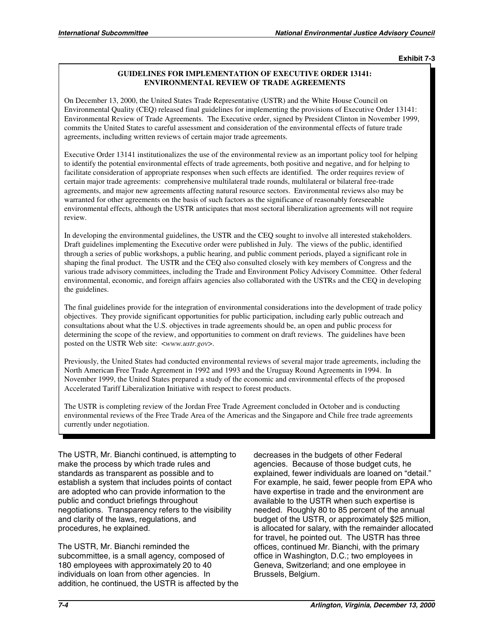**Exhibit 7-3** 

#### **GUIDELINES FOR IMPLEMENTATION OF EXECUTIVE ORDER 13141: ENVIRONMENTAL REVIEW OF TRADE AGREEMENTS**

On December 13, 2000, the United States Trade Representative (USTR) and the White House Council on Environmental Quality (CEQ) released final guidelines for implementing the provisions of Executive Order 13141: Environmental Review of Trade Agreements. The Executive order, signed by President Clinton in November 1999, commits the United States to careful assessment and consideration of the environmental effects of future trade agreements, including written reviews of certain major trade agreements.

Executive Order 13141 institutionalizes the use of the environmental review as an important policy tool for helping to identify the potential environmental effects of trade agreements, both positive and negative, and for helping to facilitate consideration of appropriate responses when such effects are identified. The order requires review of certain major trade agreements: comprehensive multilateral trade rounds, multilateral or bilateral free-trade agreements, and major new agreements affecting natural resource sectors. Environmental reviews also may be warranted for other agreements on the basis of such factors as the significance of reasonably foreseeable environmental effects, although the USTR anticipates that most sectoral liberalization agreements will not require review.

In developing the environmental guidelines, the USTR and the CEQ sought to involve all interested stakeholders. Draft guidelines implementing the Executive order were published in July. The views of the public, identified through a series of public workshops, a public hearing, and public comment periods, played a significant role in shaping the final product. The USTR and the CEQ also consulted closely with key members of Congress and the various trade advisory committees, including the Trade and Environment Policy Advisory Committee. Other federal environmental, economic, and foreign affairs agencies also collaborated with the USTRs and the CEQ in developing the guidelines.

The final guidelines provide for the integration of environmental considerations into the development of trade policy objectives. They provide significant opportunities for public participation, including early public outreach and consultations about what the U.S. objectives in trade agreements should be, an open and public process for determining the scope of the review, and opportunities to comment on draft reviews. The guidelines have been posted on the USTR Web site: <*www.ustr.gov*>.

Previously, the United States had conducted environmental reviews of several major trade agreements, including the North American Free Trade Agreement in 1992 and 1993 and the Uruguay Round Agreements in 1994. In November 1999, the United States prepared a study of the economic and environmental effects of the proposed Accelerated Tariff Liberalization Initiative with respect to forest products.

The USTR is completing review of the Jordan Free Trade Agreement concluded in October and is conducting environmental reviews of the Free Trade Area of the Americas and the Singapore and Chile free trade agreements currently under negotiation.

The USTR, Mr. Bianchi continued, is attempting to make the process by which trade rules and standards as transparent as possible and to establish a system that includes points of contact are adopted who can provide information to the public and conduct briefings throughout negotiations. Transparency refers to the visibility and clarity of the laws, regulations, and procedures, he explained.

The USTR, Mr. Bianchi reminded the subcommittee, is a small agency, composed of 180 employees with approximately 20 to 40 individuals on loan from other agencies. In addition, he continued, the USTR is affected by the decreases in the budgets of other Federal agencies. Because of those budget cuts, he explained, fewer individuals are loaned on "detail." For example, he said, fewer people from EPA who have expertise in trade and the environment are available to the USTR when such expertise is needed. Roughly 80 to 85 percent of the annual budget of the USTR, or approximately \$25 million, is allocated for salary, with the remainder allocated for travel, he pointed out. The USTR has three offices, continued Mr. Bianchi, with the primary office in Washington, D.C.; two employees in Geneva, Switzerland; and one employee in Brussels, Belgium.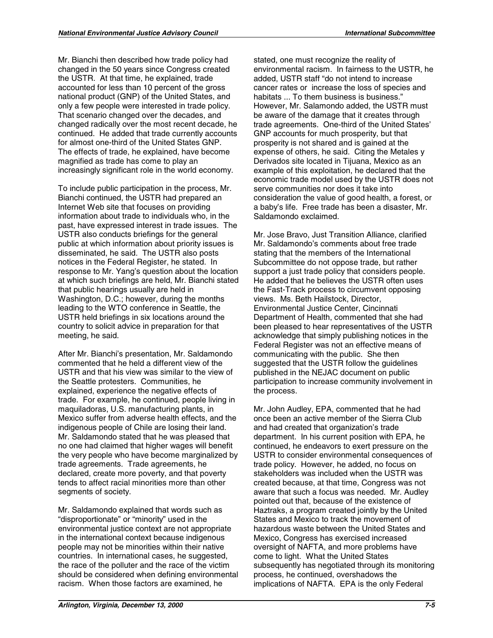Mr. Bianchi then described how trade policy had changed in the 50 years since Congress created the USTR. At that time, he explained, trade accounted for less than 10 percent of the gross national product (GNP) of the United States, and only a few people were interested in trade policy. That scenario changed over the decades, and changed radically over the most recent decade, he continued. He added that trade currently accounts for almost one-third of the United States GNP. The effects of trade, he explained, have become magnified as trade has come to play an increasingly significant role in the world economy.

To include public participation in the process, Mr. Bianchi continued, the USTR had prepared an Internet Web site that focuses on providing information about trade to individuals who, in the past, have expressed interest in trade issues. The USTR also conducts briefings for the general public at which information about priority issues is disseminated, he said. The USTR also posts notices in the Federal Register, he stated. In response to Mr. Yang's question about the location at which such briefings are held, Mr. Bianchi stated that public hearings usually are held in Washington, D.C.; however, during the months leading to the WTO conference in Seattle, the USTR held briefings in six locations around the country to solicit advice in preparation for that meeting, he said.

After Mr. Bianchi's presentation, Mr. Saldamondo commented that he held a different view of the USTR and that his view was similar to the view of the Seattle protesters. Communities, he explained, experience the negative effects of trade. For example, he continued, people living in maquiladoras, U.S. manufacturing plants, in Mexico suffer from adverse health effects, and the indigenous people of Chile are losing their land. Mr. Saldamondo stated that he was pleased that no one had claimed that higher wages will benefit the very people who have become marginalized by trade agreements. Trade agreements, he declared, create more poverty, and that poverty tends to affect racial minorities more than other segments of society.

Mr. Saldamondo explained that words such as "disproportionate" or "minority" used in the environmental justice context are not appropriate in the international context because indigenous people may not be minorities within their native countries. In international cases, he suggested, the race of the polluter and the race of the victim should be considered when defining environmental racism. When those factors are examined, he

stated, one must recognize the reality of environmental racism. In fairness to the USTR, he added, USTR staff "do not intend to increase cancer rates or increase the loss of species and habitats ... To them business is business." However, Mr. Salamondo added, the USTR must be aware of the damage that it creates through trade agreements. One-third of the United States' GNP accounts for much prosperity, but that prosperity is not shared and is gained at the expense of others, he said. Citing the Metales y Derivados site located in Tijuana, Mexico as an example of this exploitation, he declared that the economic trade model used by the USTR does not serve communities nor does it take into consideration the value of good health, a forest, or a baby's life. Free trade has been a disaster, Mr. Saldamondo exclaimed.

Mr. Jose Bravo, Just Transition Alliance, clarified Mr. Saldamondo's comments about free trade stating that the members of the International Subcommittee do not oppose trade, but rather support a just trade policy that considers people. He added that he believes the USTR often uses the Fast-Track process to circumvent opposing views. Ms. Beth Hailstock, Director, Environmental Justice Center, Cincinnati Department of Health, commented that she had been pleased to hear representatives of the USTR acknowledge that simply publishing notices in the Federal Register was not an effective means of communicating with the public. She then suggested that the USTR follow the guidelines published in the NEJAC document on public participation to increase community involvement in the process.

Mr. John Audley, EPA, commented that he had once been an active member of the Sierra Club and had created that organization's trade department. In his current position with EPA, he continued, he endeavors to exert pressure on the USTR to consider environmental consequences of trade policy. However, he added, no focus on stakeholders was included when the USTR was created because, at that time, Congress was not aware that such a focus was needed. Mr. Audley pointed out that, because of the existence of Haztraks, a program created jointly by the United States and Mexico to track the movement of hazardous waste between the United States and Mexico, Congress has exercised increased oversight of NAFTA, and more problems have come to light. What the United States subsequently has negotiated through its monitoring process, he continued, overshadows the implications of NAFTA. EPA is the only Federal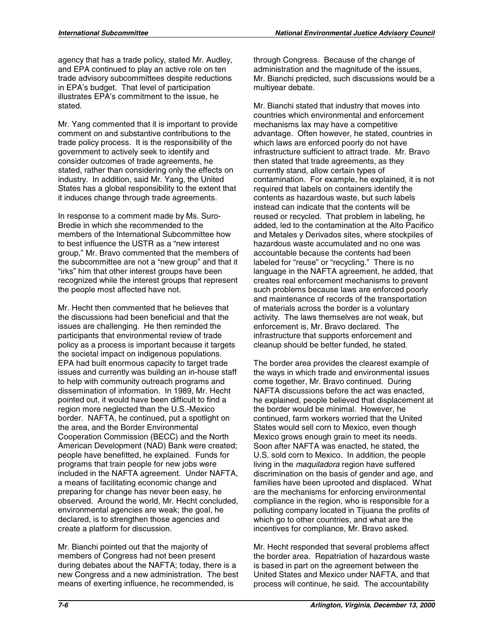agency that has a trade policy, stated Mr. Audley, and EPA continued to play an active role on ten trade advisory subcommittees despite reductions in EPA's budget. That level of participation illustrates EPA's commitment to the issue, he stated.

Mr. Yang commented that it is important to provide comment on and substantive contributions to the trade policy process. It is the responsibility of the government to actively seek to identify and consider outcomes of trade agreements, he stated, rather than considering only the effects on industry. In addition, said Mr. Yang, the United States has a global responsibility to the extent that it induces change through trade agreements.

In response to a comment made by Ms. Suro-Bredie in which she recommended to the members of the International Subcommittee how to best influence the USTR as a "new interest group," Mr. Bravo commented that the members of the subcommittee are not a "new group" and that it "irks" him that other interest groups have been recognized while the interest groups that represent the people most affected have not.

Mr. Hecht then commented that he believes that the discussions had been beneficial and that the issues are challenging. He then reminded the participants that environmental review of trade policy as a process is important because it targets the societal impact on indigenous populations. EPA had built enormous capacity to target trade issues and currently was building an in-house staff to help with community outreach programs and dissemination of information. In 1989, Mr. Hecht pointed out, it would have been difficult to find a region more neglected than the U.S.-Mexico border. NAFTA, he continued, put a spotlight on the area, and the Border Environmental Cooperation Commission (BECC) and the North American Development (NAD) Bank were created; people have benefitted, he explained. Funds for programs that train people for new jobs were included in the NAFTA agreement. Under NAFTA, a means of facilitating economic change and preparing for change has never been easy, he observed. Around the world, Mr. Hecht concluded, environmental agencies are weak; the goal, he declared, is to strengthen those agencies and create a platform for discussion.

Mr. Bianchi pointed out that the majority of members of Congress had not been present during debates about the NAFTA; today, there is a new Congress and a new administration. The best means of exerting influence, he recommended, is

through Congress. Because of the change of administration and the magnitude of the issues, Mr. Bianchi predicted, such discussions would be a multiyear debate.

Mr. Bianchi stated that industry that moves into countries which environmental and enforcement mechanisms lax may have a competitive advantage. Often however, he stated, countries in which laws are enforced poorly do not have infrastructure sufficient to attract trade. Mr. Bravo then stated that trade agreements, as they currently stand, allow certain types of contamination. For example, he explained, it is not required that labels on containers identify the contents as hazardous waste, but such labels instead can indicate that the contents will be reused or recycled. That problem in labeling, he added, led to the contamination at the Alto Pacifico and Metales y Derivados sites, where stockpiles of hazardous waste accumulated and no one was accountable because the contents had been labeled for "reuse" or "recycling." There is no language in the NAFTA agreement, he added, that creates real enforcement mechanisms to prevent such problems because laws are enforced poorly and maintenance of records of the transportation of materials across the border is a voluntary activity. The laws themselves are not weak, but enforcement is, Mr. Bravo declared. The infrastructure that supports enforcement and cleanup should be better funded, he stated.

The border area provides the clearest example of the ways in which trade and environmental issues come together, Mr. Bravo continued. During NAFTA discussions before the act was enacted, he explained, people believed that displacement at the border would be minimal. However, he continued, farm workers worried that the United States would sell corn to Mexico, even though Mexico grows enough grain to meet its needs. Soon after NAFTA was enacted, he stated, the U.S. sold corn to Mexico. In addition, the people living in the *maquiladora* region have suffered discrimination on the basis of gender and age, and families have been uprooted and displaced. What are the mechanisms for enforcing environmental compliance in the region, who is responsible for a polluting company located in Tijuana the profits of which go to other countries, and what are the incentives for compliance, Mr. Bravo asked.

Mr. Hecht responded that several problems affect the border area. Repatriation of hazardous waste is based in part on the agreement between the United States and Mexico under NAFTA, and that process will continue, he said. The accountability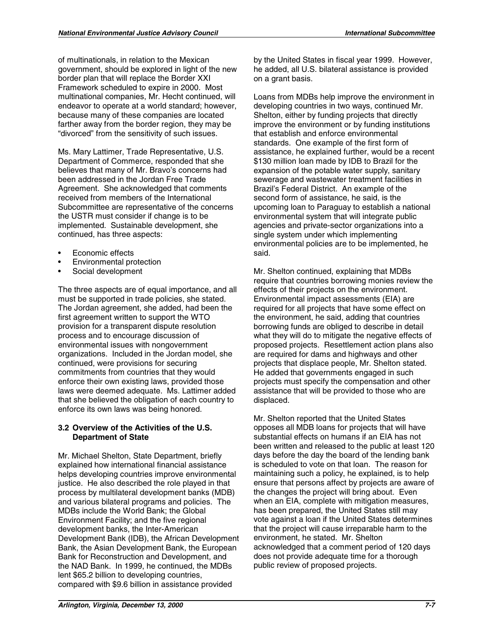of multinationals, in relation to the Mexican government, should be explored in light of the new border plan that will replace the Border XXI Framework scheduled to expire in 2000. Most multinational companies, Mr. Hecht continued, will endeavor to operate at a world standard; however, because many of these companies are located farther away from the border region, they may be "divorced" from the sensitivity of such issues.

Ms. Mary Lattimer, Trade Representative, U.S. Department of Commerce, responded that she believes that many of Mr. Bravo's concerns had been addressed in the Jordan Free Trade Agreement. She acknowledged that comments received from members of the International Subcommittee are representative of the concerns the USTR must consider if change is to be implemented. Sustainable development, she continued, has three aspects:

- Economic effects
- Environmental protection
- Social development

The three aspects are of equal importance, and all must be supported in trade policies, she stated. The Jordan agreement, she added, had been the first agreement written to support the WTO provision for a transparent dispute resolution process and to encourage discussion of environmental issues with nongovernment organizations. Included in the Jordan model, she continued, were provisions for securing commitments from countries that they would enforce their own existing laws, provided those laws were deemed adequate. Ms. Lattimer added that she believed the obligation of each country to enforce its own laws was being honored.

#### **3.2 Overview of the Activities of the U.S. Department of State**

Mr. Michael Shelton, State Department, briefly explained how international financial assistance helps developing countries improve environmental justice. He also described the role played in that process by multilateral development banks (MDB) and various bilateral programs and policies. The MDBs include the World Bank; the Global Environment Facility; and the five regional development banks, the Inter-American Development Bank (IDB), the African Development Bank, the Asian Development Bank, the European Bank for Reconstruction and Development, and the NAD Bank. In 1999, he continued, the MDBs lent \$65.2 billion to developing countries, compared with \$9.6 billion in assistance provided

by the United States in fiscal year 1999. However, he added, all U.S. bilateral assistance is provided on a grant basis.

Loans from MDBs help improve the environment in developing countries in two ways, continued Mr. Shelton, either by funding projects that directly improve the environment or by funding institutions that establish and enforce environmental standards. One example of the first form of assistance, he explained further, would be a recent \$130 million loan made by IDB to Brazil for the expansion of the potable water supply, sanitary sewerage and wastewater treatment facilities in Brazil's Federal District. An example of the second form of assistance, he said, is the upcoming loan to Paraguay to establish a national environmental system that will integrate public agencies and private-sector organizations into a single system under which implementing environmental policies are to be implemented, he said.

Mr. Shelton continued, explaining that MDBs require that countries borrowing monies review the effects of their projects on the environment. Environmental impact assessments (EIA) are required for all projects that have some effect on the environment, he said, adding that countries borrowing funds are obliged to describe in detail what they will do to mitigate the negative effects of proposed projects. Resettlement action plans also are required for dams and highways and other projects that displace people, Mr. Shelton stated. He added that governments engaged in such projects must specify the compensation and other assistance that will be provided to those who are displaced.

Mr. Shelton reported that the United States opposes all MDB loans for projects that will have substantial effects on humans if an EIA has not been written and released to the public at least 120 days before the day the board of the lending bank is scheduled to vote on that loan. The reason for maintaining such a policy, he explained, is to help ensure that persons affect by projects are aware of the changes the project will bring about. Even when an EIA, complete with mitigation measures, has been prepared, the United States still may vote against a loan if the United States determines that the project will cause irreparable harm to the environment, he stated. Mr. Shelton acknowledged that a comment period of 120 days does not provide adequate time for a thorough public review of proposed projects.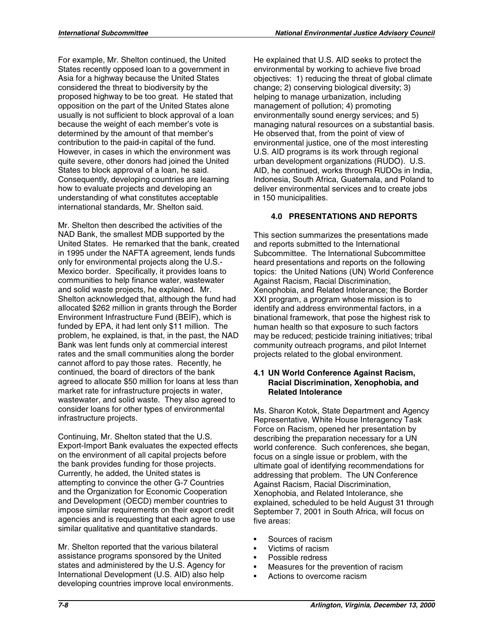For example, Mr. Shelton continued, the United States recently opposed loan to a government in Asia for a highway because the United States considered the threat to biodiversity by the proposed highway to be too great. He stated that opposition on the part of the United States alone usually is not sufficient to block approval of a loan because the weight of each member's vote is determined by the amount of that member's contribution to the paid-in capital of the fund. However, in cases in which the environment was quite severe, other donors had joined the United States to block approval of a loan, he said. Consequently, developing countries are learning how to evaluate projects and developing an understanding of what constitutes acceptable international standards, Mr. Shelton said.

Mr. Shelton then described the activities of the NAD Bank, the smallest MDB supported by the United States. He remarked that the bank, created in 1995 under the NAFTA agreement, lends funds only for environmental projects along the U.S. Mexico border. Specifically, it provides loans to communities to help finance water, wastewater and solid waste projects, he explained. Mr. Shelton acknowledged that, although the fund had allocated \$262 million in grants through the Border Environment Infrastructure Fund (BEIF), which is funded by EPA, it had lent only \$11 million. The problem, he explained, is that, in the past, the NAD Bank was lent funds only at commercial interest rates and the small communities along the border cannot afford to pay those rates. Recently, he continued, the board of directors of the bank agreed to allocate \$50 million for loans at less than market rate for infrastructure projects in water, wastewater, and solid waste. They also agreed to consider loans for other types of environmental infrastructure projects.

Continuing, Mr. Shelton stated that the U.S. Export-Import Bank evaluates the expected effects on the environment of all capital projects before the bank provides funding for those projects. Currently, he added, the United states is attempting to convince the other G-7 Countries and the Organization for Economic Cooperation and Development (OECD) member countries to impose similar requirements on their export credit agencies and is requesting that each agree to use similar qualitative and quantitative standards.

Mr. Shelton reported that the various bilateral assistance programs sponsored by the United states and administered by the U.S. Agency for International Development (U.S. AID) also help developing countries improve local environments. He explained that U.S. AID seeks to protect the environmental by working to achieve five broad objectives: 1) reducing the threat of global climate change; 2) conserving biological diversity; 3) helping to manage urbanization, including management of pollution; 4) promoting environmentally sound energy services; and 5) managing natural resources on a substantial basis. He observed that, from the point of view of environmental justice, one of the most interesting U.S. AID programs is its work through regional urban development organizations (RUDO). U.S. AID, he continued, works through RUDOs in India, Indonesia, South Africa, Guatemala, and Poland to deliver environmental services and to create jobs in 150 municipalities.

#### **4.0 PRESENTATIONS AND REPORTS**

This section summarizes the presentations made and reports submitted to the International Subcommittee. The International Subcommittee heard presentations and reports on the following topics: the United Nations (UN) World Conference Against Racism, Racial Discrimination, Xenophobia, and Related Intolerance; the Border XXI program, a program whose mission is to identify and address environmental factors, in a binational framework, that pose the highest risk to human health so that exposure to such factors may be reduced; pesticide training initiatives; tribal community outreach programs, and pilot Internet projects related to the global environment.

#### **4.1 UN World Conference Against Racism, Racial Discrimination, Xenophobia, and Related Intolerance**

Ms. Sharon Kotok, State Department and Agency Representative, White House Interagency Task Force on Racism, opened her presentation by describing the preparation necessary for a UN world conference. Such conferences, she began, focus on a single issue or problem, with the ultimate goal of identifying recommendations for addressing that problem. The UN Conference Against Racism, Racial Discrimination, Xenophobia, and Related Intolerance, she explained, scheduled to be held August 31 through September 7, 2001 in South Africa, will focus on five areas:

- Sources of racism
- Victims of racism
- Possible redress
- Measures for the prevention of racism
- Actions to overcome racism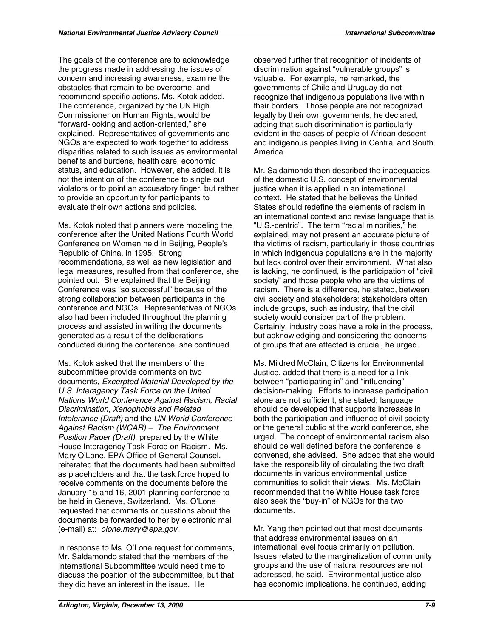The goals of the conference are to acknowledge the progress made in addressing the issues of concern and increasing awareness, examine the obstacles that remain to be overcome, and recommend specific actions, Ms. Kotok added. The conference, organized by the UN High Commissioner on Human Rights, would be "forward-looking and action-oriented," she explained. Representatives of governments and NGOs are expected to work together to address disparities related to such issues as environmental benefits and burdens, health care, economic status, and education. However, she added, it is not the intention of the conference to single out violators or to point an accusatory finger, but rather to provide an opportunity for participants to evaluate their own actions and policies.

Ms. Kotok noted that planners were modeling the conference after the United Nations Fourth World Conference on Women held in Beijing, People's Republic of China, in 1995. Strong recommendations, as well as new legislation and legal measures, resulted from that conference, she pointed out. She explained that the Beijing Conference was "so successful" because of the strong collaboration between participants in the conference and NGOs. Representatives of NGOs also had been included throughout the planning process and assisted in writing the documents generated as a result of the deliberations conducted during the conference, she continued.

 (e-mail) at: *olone.mary@epa.gov*. Ms. Kotok asked that the members of the subcommittee provide comments on two documents, *Excerpted Material Developed by the U.S. Interagency Task Force on the United Nations World Conference Against Racism, Racial Discrimination, Xenophobia and Related Intolerance (Draft)* and the *UN World Conference Against Racism (WCAR) – The Environment Position Paper (Draft)*, prepared by the White House Interagency Task Force on Racism. Ms. Mary O'Lone, EPA Office of General Counsel, reiterated that the documents had been submitted as placeholders and that the task force hoped to receive comments on the documents before the January 15 and 16, 2001 planning conference to be held in Geneva, Switzerland. Ms. O'Lone requested that comments or questions about the documents be forwarded to her by electronic mail

In response to Ms. O'Lone request for comments, Mr. Saldamondo stated that the members of the International Subcommittee would need time to discuss the position of the subcommittee, but that they did have an interest in the issue. He

observed further that recognition of incidents of discrimination against "vulnerable groups" is valuable. For example, he remarked, the governments of Chile and Uruguay do not recognize that indigenous populations live within their borders. Those people are not recognized legally by their own governments, he declared, adding that such discrimination is particularly evident in the cases of people of African descent and indigenous peoples living in Central and South America.

Mr. Saldamondo then described the inadequacies of the domestic U.S. concept of environmental justice when it is applied in an international context. He stated that he believes the United States should redefine the elements of racism in an international context and revise language that is "U.S.-centric". The term "racial minorities," he explained, may not present an accurate picture of the victims of racism, particularly in those countries in which indigenous populations are in the majority but lack control over their environment. What also is lacking, he continued, is the participation of "civil society" and those people who are the victims of racism. There is a difference, he stated, between civil society and stakeholders; stakeholders often include groups, such as industry, that the civil society would consider part of the problem. Certainly, industry does have a role in the process, but acknowledging and considering the concerns of groups that are affected is crucial, he urged.

Ms. Mildred McClain, Citizens for Environmental Justice, added that there is a need for a link between "participating in" and "influencing" decision-making. Efforts to increase participation alone are not sufficient, she stated; language should be developed that supports increases in both the participation and influence of civil society or the general public at the world conference, she urged. The concept of environmental racism also should be well defined before the conference is convened, she advised. She added that she would take the responsibility of circulating the two draft documents in various environmental justice communities to solicit their views. Ms. McClain recommended that the White House task force also seek the "buy-in" of NGOs for the two documents.

Mr. Yang then pointed out that most documents that address environmental issues on an international level focus primarily on pollution. Issues related to the marginalization of community groups and the use of natural resources are not addressed, he said. Environmental justice also has economic implications, he continued, adding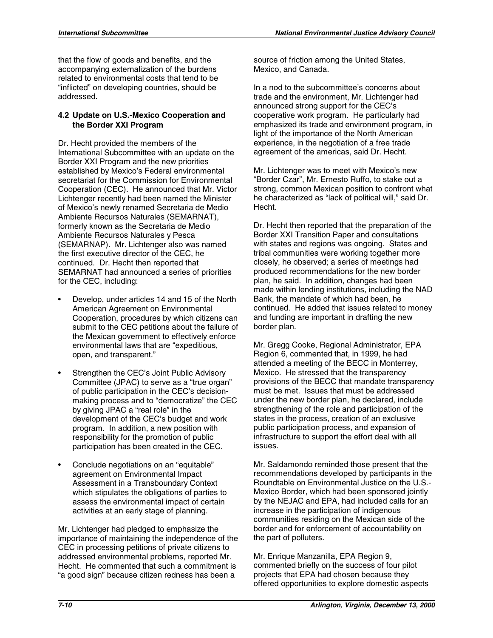that the flow of goods and benefits, and the accompanying externalization of the burdens related to environmental costs that tend to be "inflicted" on developing countries, should be addressed.

#### **4.2 Update on U.S.-Mexico Cooperation and the Border XXI Program**

Dr. Hecht provided the members of the International Subcommittee with an update on the Border XXI Program and the new priorities established by Mexico's Federal environmental secretariat for the Commission for Environmental Cooperation (CEC). He announced that Mr. Victor Lichtenger recently had been named the Minister of Mexico's newly renamed Secretaria de Medio Ambiente Recursos Naturales (SEMARNAT), formerly known as the Secretaria de Medio Ambiente Recursos Naturales y Pesca (SEMARNAP). Mr. Lichtenger also was named the first executive director of the CEC, he continued. Dr. Hecht then reported that SEMARNAT had announced a series of priorities for the CEC, including:

- Develop, under articles 14 and 15 of the North American Agreement on Environmental Cooperation, procedures by which citizens can submit to the CEC petitions about the failure of the Mexican government to effectively enforce environmental laws that are "expeditious, open, and transparent."
- Strengthen the CEC's Joint Public Advisory Committee (JPAC) to serve as a "true organ" of public participation in the CEC's decisionmaking process and to "democratize" the CEC by giving JPAC a "real role" in the development of the CEC's budget and work program. In addition, a new position with responsibility for the promotion of public participation has been created in the CEC.
- Conclude negotiations on an "equitable" agreement on Environmental Impact Assessment in a Transboundary Context which stipulates the obligations of parties to assess the environmental impact of certain activities at an early stage of planning.

Mr. Lichtenger had pledged to emphasize the importance of maintaining the independence of the CEC in processing petitions of private citizens to addressed environmental problems, reported Mr. Hecht. He commented that such a commitment is "a good sign" because citizen redness has been a

source of friction among the United States, Mexico, and Canada.

In a nod to the subcommittee's concerns about trade and the environment, Mr. Lichtenger had announced strong support for the CEC's cooperative work program. He particularly had emphasized its trade and environment program, in light of the importance of the North American experience, in the negotiation of a free trade agreement of the americas, said Dr. Hecht.

Mr. Lichtenger was to meet with Mexico's new "Border Czar", Mr. Ernesto Ruffo, to stake out a strong, common Mexican position to confront what he characterized as "lack of political will," said Dr. Hecht.

Dr. Hecht then reported that the preparation of the Border XXI Transition Paper and consultations with states and regions was ongoing. States and tribal communities were working together more closely, he observed; a series of meetings had produced recommendations for the new border plan, he said. In addition, changes had been made within lending institutions, including the NAD Bank, the mandate of which had been, he continued. He added that issues related to money and funding are important in drafting the new border plan.

Mr. Gregg Cooke, Regional Administrator, EPA Region 6, commented that, in 1999, he had attended a meeting of the BECC in Monterrey, Mexico. He stressed that the transparency provisions of the BECC that mandate transparency must be met. Issues that must be addressed under the new border plan, he declared, include strengthening of the role and participation of the states in the process, creation of an exclusive public participation process, and expansion of infrastructure to support the effort deal with all issues.

Mr. Saldamondo reminded those present that the recommendations developed by participants in the Roundtable on Environmental Justice on the U.S. Mexico Border, which had been sponsored jointly by the NEJAC and EPA, had included calls for an increase in the participation of indigenous communities residing on the Mexican side of the border and for enforcement of accountability on the part of polluters.

Mr. Enrique Manzanilla, EPA Region 9, commented briefly on the success of four pilot projects that EPA had chosen because they offered opportunities to explore domestic aspects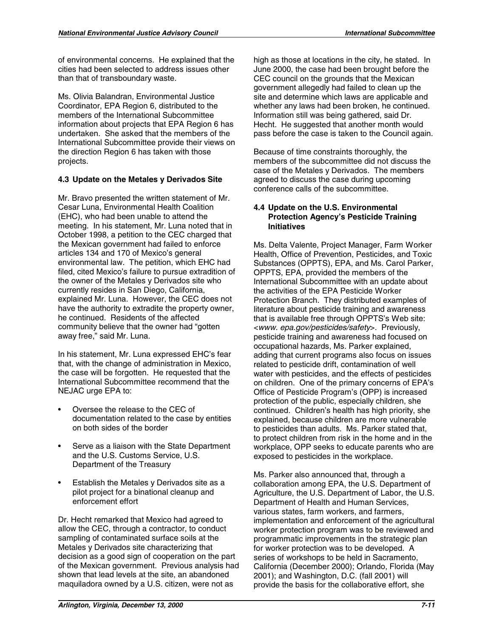of environmental concerns. He explained that the cities had been selected to address issues other than that of transboundary waste.

Ms. Olivia Balandran, Environmental Justice Coordinator, EPA Region 6, distributed to the members of the International Subcommittee information about projects that EPA Region 6 has undertaken. She asked that the members of the International Subcommittee provide their views on the direction Region 6 has taken with those projects.

### **4.3 Update on the Metales y Derivados Site**

Mr. Bravo presented the written statement of Mr. Cesar Luna, Environmental Health Coalition (EHC), who had been unable to attend the meeting. In his statement, Mr. Luna noted that in October 1998, a petition to the CEC charged that the Mexican government had failed to enforce articles 134 and 170 of Mexico's general environmental law. The petition, which EHC had filed, cited Mexico's failure to pursue extradition of the owner of the Metales y Derivados site who currently resides in San Diego, California, explained Mr. Luna. However, the CEC does not have the authority to extradite the property owner, he continued. Residents of the affected community believe that the owner had "gotten away free," said Mr. Luna.

In his statement, Mr. Luna expressed EHC's fear that, with the change of administration in Mexico, the case will be forgotten. He requested that the International Subcommittee recommend that the NEJAC urge EPA to:

- Oversee the release to the CEC of documentation related to the case by entities on both sides of the border
- Serve as a liaison with the State Department and the U.S. Customs Service, U.S. Department of the Treasury
- Establish the Metales y Derivados site as a pilot project for a binational cleanup and enforcement effort

Dr. Hecht remarked that Mexico had agreed to allow the CEC, through a contractor, to conduct sampling of contaminated surface soils at the Metales y Derivados site characterizing that decision as a good sign of cooperation on the part of the Mexican government. Previous analysis had shown that lead levels at the site, an abandoned maquiladora owned by a U.S. citizen, were not as

high as those at locations in the city, he stated. In June 2000, the case had been brought before the CEC council on the grounds that the Mexican government allegedly had failed to clean up the site and determine which laws are applicable and whether any laws had been broken, he continued. Information still was being gathered, said Dr. Hecht. He suggested that another month would pass before the case is taken to the Council again.

Because of time constraints thoroughly, the members of the subcommittee did not discuss the case of the Metales y Derivados. The members agreed to discuss the case during upcoming conference calls of the subcommittee.

#### **4.4 Update on the U.S. Environmental Protection Agency's Pesticide Training Initiatives**

Ms. Delta Valente, Project Manager, Farm Worker Health, Office of Prevention, Pesticides, and Toxic Substances (OPPTS), EPA, and Ms. Carol Parker, OPPTS, EPA, provided the members of the International Subcommittee with an update about the activities of the EPA Pesticide Worker Protection Branch. They distributed examples of literature about pesticide training and awareness that is available free through OPPTS's Web site: <*www. epa.gov/pesticides/safety*>. Previously, pesticide training and awareness had focused on occupational hazards, Ms. Parker explained, adding that current programs also focus on issues related to pesticide drift, contamination of well water with pesticides, and the effects of pesticides on children. One of the primary concerns of EPA's Office of Pesticide Program's (OPP) is increased protection of the public, especially children, she continued. Children's health has high priority, she explained, because children are more vulnerable to pesticides than adults. Ms. Parker stated that, to protect children from risk in the home and in the workplace, OPP seeks to educate parents who are exposed to pesticides in the workplace.

Ms. Parker also announced that, through a collaboration among EPA, the U.S. Department of Agriculture, the U.S. Department of Labor, the U.S. Department of Health and Human Services, various states, farm workers, and farmers, implementation and enforcement of the agricultural worker protection program was to be reviewed and programmatic improvements in the strategic plan for worker protection was to be developed. A series of workshops to be held in Sacramento, California (December 2000); Orlando, Florida (May 2001); and Washington, D.C. (fall 2001) will provide the basis for the collaborative effort, she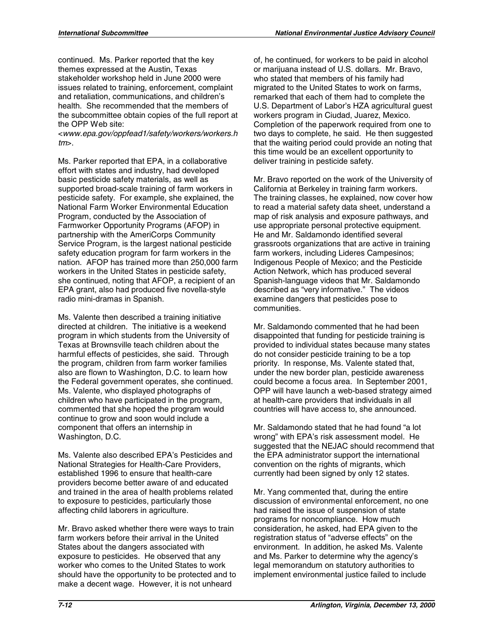continued. Ms. Parker reported that the key themes expressed at the Austin, Texas stakeholder workshop held in June 2000 were issues related to training, enforcement, complaint and retaliation, communications, and children's health. She recommended that the members of the subcommittee obtain copies of the full report at the OPP Web site:

<*www.epa.gov/oppfead1/safety/workers/workers.h tm*>.

Ms. Parker reported that EPA, in a collaborative effort with states and industry, had developed basic pesticide safety materials, as well as supported broad-scale training of farm workers in pesticide safety. For example, she explained, the National Farm Worker Environmental Education Program, conducted by the Association of Farmworker Opportunity Programs (AFOP) in partnership with the AmeriCorps Community Service Program, is the largest national pesticide safety education program for farm workers in the nation. AFOP has trained more than 250,000 farm workers in the United States in pesticide safety, she continued, noting that AFOP, a recipient of an EPA grant, also had produced five novella-style radio mini-dramas in Spanish.

Ms. Valente then described a training initiative directed at children. The initiative is a weekend program in which students from the University of Texas at Brownsville teach children about the harmful effects of pesticides, she said. Through the program, children from farm worker families also are flown to Washington, D.C. to learn how the Federal government operates, she continued. Ms. Valente, who displayed photographs of children who have participated in the program, commented that she hoped the program would continue to grow and soon would include a component that offers an internship in Washington, D.C.

Ms. Valente also described EPA's Pesticides and National Strategies for Health-Care Providers, established 1996 to ensure that health-care providers become better aware of and educated and trained in the area of health problems related to exposure to pesticides, particularly those affecting child laborers in agriculture.

Mr. Bravo asked whether there were ways to train farm workers before their arrival in the United States about the dangers associated with exposure to pesticides. He observed that any worker who comes to the United States to work should have the opportunity to be protected and to make a decent wage. However, it is not unheard

of, he continued, for workers to be paid in alcohol or marijuana instead of U.S. dollars. Mr. Bravo, who stated that members of his family had migrated to the United States to work on farms, remarked that each of them had to complete the U.S. Department of Labor's HZA agricultural guest workers program in Ciudad, Juarez, Mexico. Completion of the paperwork required from one to two days to complete, he said. He then suggested that the waiting period could provide an noting that this time would be an excellent opportunity to deliver training in pesticide safety.

Mr. Bravo reported on the work of the University of California at Berkeley in training farm workers. The training classes, he explained, now cover how to read a material safety data sheet, understand a map of risk analysis and exposure pathways, and use appropriate personal protective equipment. He and Mr. Saldamondo identified several grassroots organizations that are active in training farm workers, including Lideres Campesinos; Indigenous People of Mexico; and the Pesticide Action Network, which has produced several Spanish-language videos that Mr. Saldamondo described as "very informative." The videos examine dangers that pesticides pose to communities.

Mr. Saldamondo commented that he had been disappointed that funding for pesticide training is provided to individual states because many states do not consider pesticide training to be a top priority. In response, Ms. Valente stated that, under the new border plan, pesticide awareness could become a focus area. In September 2001, OPP will have launch a web-based strategy aimed at health-care providers that individuals in all countries will have access to, she announced.

Mr. Saldamondo stated that he had found "a lot wrong" with EPA's risk assessment model. He suggested that the NEJAC should recommend that the EPA administrator support the international convention on the rights of migrants, which currently had been signed by only 12 states.

Mr. Yang commented that, during the entire discussion of environmental enforcement, no one had raised the issue of suspension of state programs for noncompliance. How much consideration, he asked, had EPA given to the registration status of "adverse effects" on the environment. In addition, he asked Ms. Valente and Ms. Parker to determine why the agency's legal memorandum on statutory authorities to implement environmental justice failed to include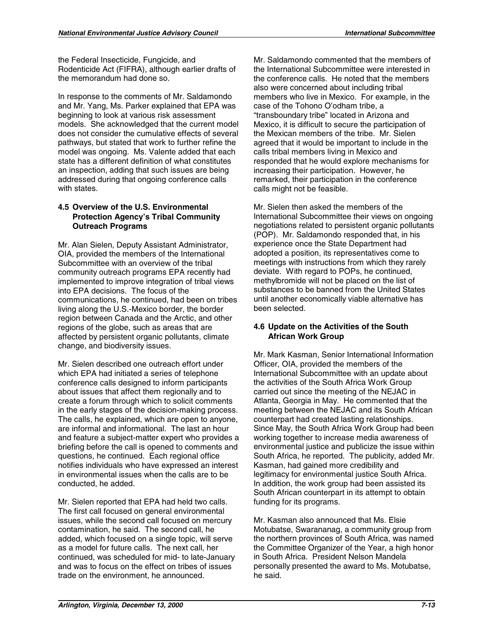the Federal Insecticide, Fungicide, and Rodenticide Act (FIFRA), although earlier drafts of the memorandum had done so.

In response to the comments of Mr. Saldamondo and Mr. Yang, Ms. Parker explained that EPA was beginning to look at various risk assessment models. She acknowledged that the current model does not consider the cumulative effects of several pathways, but stated that work to further refine the model was ongoing. Ms. Valente added that each state has a different definition of what constitutes an inspection, adding that such issues are being addressed during that ongoing conference calls with states.

#### **4.5 Overview of the U.S. Environmental Protection Agency's Tribal Community Outreach Programs**

Mr. Alan Sielen, Deputy Assistant Administrator, OIA, provided the members of the International Subcommittee with an overview of the tribal community outreach programs EPA recently had implemented to improve integration of tribal views into EPA decisions. The focus of the communications, he continued, had been on tribes living along the U.S.-Mexico border, the border region between Canada and the Arctic, and other regions of the globe, such as areas that are affected by persistent organic pollutants, climate change, and biodiversity issues.

Mr. Sielen described one outreach effort under which EPA had initiated a series of telephone conference calls designed to inform participants about issues that affect them regionally and to create a forum through which to solicit comments in the early stages of the decision-making process. The calls, he explained, which are open to anyone, are informal and informational. The last an hour and feature a subject-matter expert who provides a briefing before the call is opened to comments and questions, he continued. Each regional office notifies individuals who have expressed an interest in environmental issues when the calls are to be conducted, he added.

Mr. Sielen reported that EPA had held two calls. The first call focused on general environmental issues, while the second call focused on mercury contamination, he said. The second call, he added, which focused on a single topic, will serve as a model for future calls. The next call, her continued, was scheduled for mid- to late-January and was to focus on the effect on tribes of issues trade on the environment, he announced.

Mr. Saldamondo commented that the members of the International Subcommittee were interested in the conference calls. He noted that the members also were concerned about including tribal members who live in Mexico. For example, in the case of the Tohono O'odham tribe, a "transboundary tribe" located in Arizona and Mexico, it is difficult to secure the participation of the Mexican members of the tribe. Mr. Sielen agreed that it would be important to include in the calls tribal members living in Mexico and responded that he would explore mechanisms for increasing their participation. However, he remarked, their participation in the conference calls might not be feasible.

Mr. Sielen then asked the members of the International Subcommittee their views on ongoing negotiations related to persistent organic pollutants (POP). Mr. Saldamondo responded that, in his experience once the State Department had adopted a position, its representatives come to meetings with instructions from which they rarely deviate. With regard to POPs, he continued, methylbromide will not be placed on the list of substances to be banned from the United States until another economically viable alternative has been selected.

#### **4.6 Update on the Activities of the South African Work Group**

Mr. Mark Kasman, Senior International Information Officer, OIA, provided the members of the International Subcommittee with an update about the activities of the South Africa Work Group carried out since the meeting of the NEJAC in Atlanta, Georgia in May. He commented that the meeting between the NEJAC and its South African counterpart had created lasting relationships. Since May, the South Africa Work Group had been working together to increase media awareness of environmental justice and publicize the issue within South Africa, he reported. The publicity, added Mr. Kasman, had gained more credibility and legitimacy for environmental justice South Africa. In addition, the work group had been assisted its South African counterpart in its attempt to obtain funding for its programs.

Mr. Kasman also announced that Ms. Elsie Motubatse, Swarananag, a community group from the northern provinces of South Africa, was named the Committee Organizer of the Year, a high honor in South Africa. President Nelson Mandela personally presented the award to Ms. Motubatse, he said.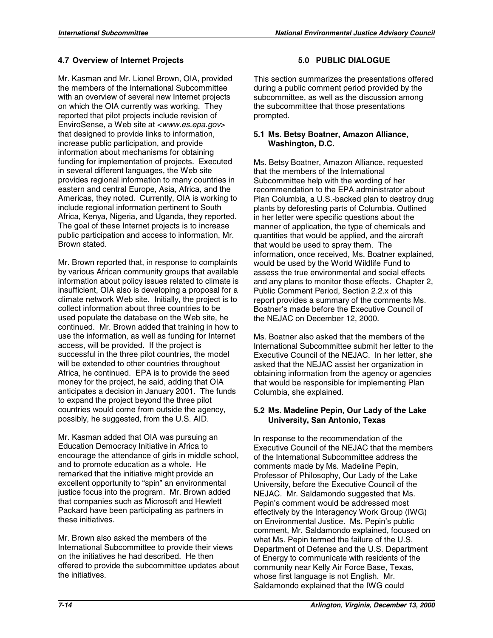### **4.7 Overview of Internet Projects**

Mr. Kasman and Mr. Lionel Brown, OIA, provided the members of the International Subcommittee with an overview of several new Internet projects on which the OIA currently was working. They reported that pilot projects include revision of EnviroSense, a Web site at <*www.es.epa.gov*> that designed to provide links to information, increase public participation, and provide information about mechanisms for obtaining funding for implementation of projects. Executed in several different languages, the Web site provides regional information to many countries in eastern and central Europe, Asia, Africa, and the Americas, they noted. Currently, OIA is working to include regional information pertinent to South Africa, Kenya, Nigeria, and Uganda, they reported. The goal of these Internet projects is to increase public participation and access to information, Mr. Brown stated.

Mr. Brown reported that, in response to complaints by various African community groups that available information about policy issues related to climate is insufficient, OIA also is developing a proposal for a climate network Web site. Initially, the project is to collect information about three countries to be used populate the database on the Web site, he continued. Mr. Brown added that training in how to use the information, as well as funding for Internet access, will be provided. If the project is successful in the three pilot countries, the model will be extended to other countries throughout Africa, he continued. EPA is to provide the seed money for the project, he said, adding that OIA anticipates a decision in January 2001. The funds to expand the project beyond the three pilot countries would come from outside the agency, possibly, he suggested, from the U.S. AID.

Mr. Kasman added that OIA was pursuing an Education Democracy Initiative in Africa to encourage the attendance of girls in middle school, and to promote education as a whole. He remarked that the initiative might provide an excellent opportunity to "spin" an environmental justice focus into the program. Mr. Brown added that companies such as Microsoft and Hewlett Packard have been participating as partners in these initiatives.

Mr. Brown also asked the members of the International Subcommittee to provide their views on the initiatives he had described. He then offered to provide the subcommittee updates about the initiatives.

This section summarizes the presentations offered during a public comment period provided by the subcommittee, as well as the discussion among the subcommittee that those presentations prompted.

#### **5.1 Ms. Betsy Boatner, Amazon Alliance, Washington, D.C.**

Ms. Betsy Boatner, Amazon Alliance, requested that the members of the International Subcommittee help with the wording of her recommendation to the EPA administrator about Plan Columbia, a U.S.-backed plan to destroy drug plants by deforesting parts of Columbia. Outlined in her letter were specific questions about the manner of application, the type of chemicals and quantities that would be applied, and the aircraft that would be used to spray them. The information, once received, Ms. Boatner explained, would be used by the World Wildlife Fund to assess the true environmental and social effects and any plans to monitor those effects. Chapter 2, Public Comment Period, Section 2.2.x of this report provides a summary of the comments Ms. Boatner's made before the Executive Council of the NEJAC on December 12, 2000.

Ms. Boatner also asked that the members of the International Subcommittee submit her letter to the Executive Council of the NEJAC. In her letter, she asked that the NEJAC assist her organization in obtaining information from the agency or agencies that would be responsible for implementing Plan Columbia, she explained.

#### **5.2 Ms. Madeline Pepin, Our Lady of the Lake University, San Antonio, Texas**

In response to the recommendation of the Executive Council of the NEJAC that the members of the International Subcommittee address the comments made by Ms. Madeline Pepin, Professor of Philosophy, Our Lady of the Lake University, before the Executive Council of the NEJAC. Mr. Saldamondo suggested that Ms. Pepin's comment would be addressed most effectively by the Interagency Work Group (IWG) on Environmental Justice. Ms. Pepin's public comment, Mr. Saldamondo explained, focused on what Ms. Pepin termed the failure of the U.S. Department of Defense and the U.S. Department of Energy to communicate with residents of the community near Kelly Air Force Base, Texas, whose first language is not English. Mr. Saldamondo explained that the IWG could